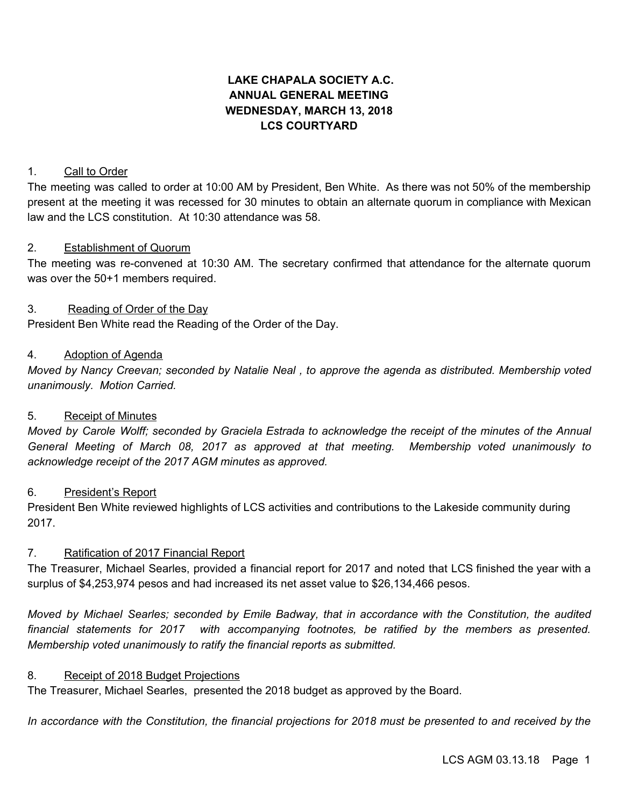# **LAKE CHAPALA SOCIETY A.C. ANNUAL GENERAL MEETING WEDNESDAY, MARCH 13, 2018 LCS COURTYARD**

### 1. Call to Order

The meeting was called to order at 10:00 AM by President, Ben White. As there was not 50% of the membership present at the meeting it was recessed for 30 minutes to obtain an alternate quorum in compliance with Mexican law and the LCS constitution. At 10:30 attendance was 58.

#### 2. Establishment of Quorum

The meeting was re-convened at 10:30 AM. The secretary confirmed that attendance for the alternate quorum was over the 50+1 members required.

#### 3. Reading of Order of the Day

President Ben White read the Reading of the Order of the Day.

### 4. Adoption of Agenda

*Moved by Nancy Creevan; seconded by Natalie Neal , to approve the agenda as distributed. Membership voted unanimously. Motion Carried.*

# 5. Receipt of Minutes

Moved by Carole Wolff; seconded by Graciela Estrada to acknowledge the receipt of the minutes of the Annual *General Meeting of March 08, 2017 as approved at that meeting. Membership voted unanimously to acknowledge receipt of the 2017 AGM minutes as approved.*

#### 6. President's Report

President Ben White reviewed highlights of LCS activities and contributions to the Lakeside community during 2017.

# 7. Ratification of 2017 Financial Report

The Treasurer, Michael Searles, provided a financial report for 2017 and noted that LCS finished the year with a surplus of \$4,253,974 pesos and had increased its net asset value to \$26,134,466 pesos.

*Moved by Michael Searles; seconded by Emile Badway, that in accordance with the Constitution, the audited financial statements for 2017 with accompanying footnotes, be ratified by the members as presented. Membership voted unanimously to ratify the financial reports as submitted.*

#### 8. Receipt of 2018 Budget Projections

The Treasurer, Michael Searles, presented the 2018 budget as approved by the Board.

In accordance with the Constitution, the financial projections for 2018 must be presented to and received by the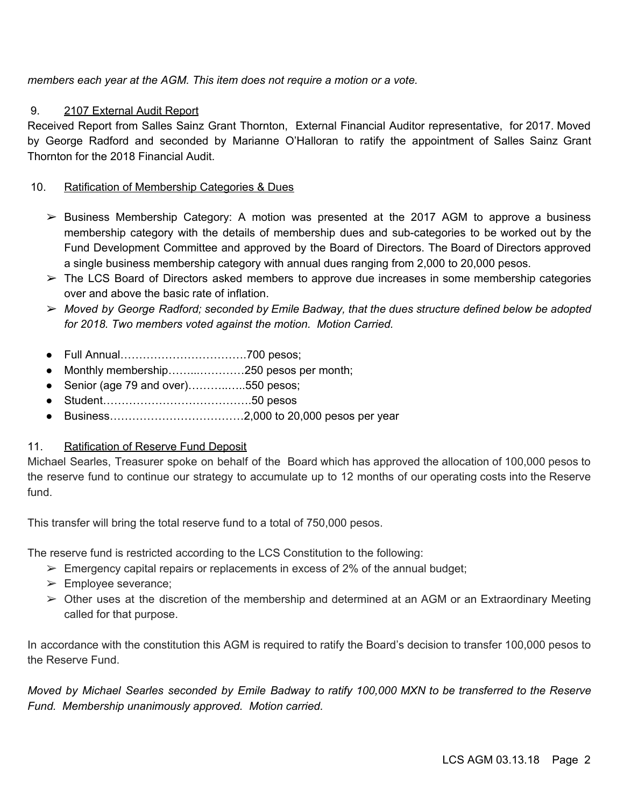*members each year at the AGM. This item does not require a motion or a vote.*

# 9. 2107 External Audit Report

Received Report from Salles Sainz Grant Thornton, External Financial Auditor representative, for 2017. Moved by George Radford and seconded by Marianne O'Halloran to ratify the appointment of Salles Sainz Grant Thornton for the 2018 Financial Audit.

# 10. Ratification of Membership Categories & Dues

- $\triangleright$  Business Membership Category: A motion was presented at the 2017 AGM to approve a business membership category with the details of membership dues and sub-categories to be worked out by the Fund Development Committee and approved by the Board of Directors. The Board of Directors approved a single business membership category with annual dues ranging from 2,000 to 20,000 pesos.
- $\triangleright$  The LCS Board of Directors asked members to approve due increases in some membership categories over and above the basic rate of inflation.
- ➢ *Moved by George Radford; seconded by Emile Badway, that the dues structure defined below be adopted for 2018. Two members voted against the motion. Motion Carried.*
- Full Annual…………………………….700 pesos;
- Monthly membership……...…………250 pesos per month;
- Senior (age 79 and over)..................550 pesos;
- Student………………………………….50 pesos
- Business………………………………2,000 to 20,000 pesos per year

# 11. Ratification of Reserve Fund Deposit

Michael Searles, Treasurer spoke on behalf of the Board which has approved the allocation of 100,000 pesos to the reserve fund to continue our strategy to accumulate up to 12 months of our operating costs into the Reserve fund.

This transfer will bring the total reserve fund to a total of 750,000 pesos.

The reserve fund is restricted according to the LCS Constitution to the following:

- $\triangleright$  Emergency capital repairs or replacements in excess of 2% of the annual budget;
- ➢ Employee severance;
- $\triangleright$  Other uses at the discretion of the membership and determined at an AGM or an Extraordinary Meeting called for that purpose.

In accordance with the constitution this AGM is required to ratify the Board's decision to transfer 100,000 pesos to the Reserve Fund.

Moved by Michael Searles seconded by Emile Badway to ratify 100,000 MXN to be transferred to the Reserve *Fund. Membership unanimously approved. Motion carried.*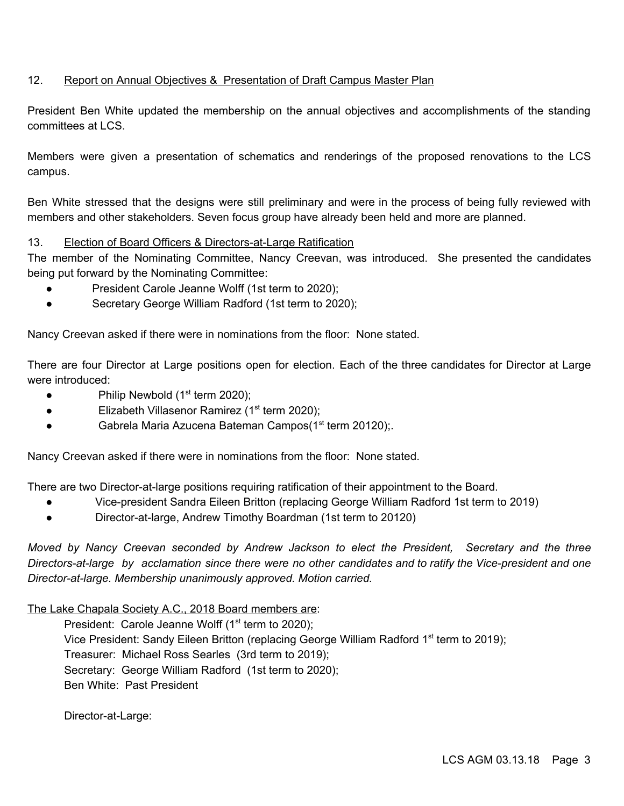# 12. Report on Annual Objectives & Presentation of Draft Campus Master Plan

President Ben White updated the membership on the annual objectives and accomplishments of the standing committees at LCS.

Members were given a presentation of schematics and renderings of the proposed renovations to the LCS campus.

Ben White stressed that the designs were still preliminary and were in the process of being fully reviewed with members and other stakeholders. Seven focus group have already been held and more are planned.

# 13. Election of Board Officers & Directors-at-Large Ratification

The member of the Nominating Committee, Nancy Creevan, was introduced. She presented the candidates being put forward by the Nominating Committee:

- President Carole Jeanne Wolff (1st term to 2020);
- Secretary George William Radford (1st term to 2020);

Nancy Creevan asked if there were in nominations from the floor: None stated.

There are four Director at Large positions open for election. Each of the three candidates for Director at Large were introduced:

- $\bullet$  Philip Newbold (1<sup>st</sup> term 2020);
- Elizabeth Villasenor Ramirez (1<sup>st</sup> term 2020);
- Gabrela Maria Azucena Bateman Campos(1<sup>st</sup> term 20120);

Nancy Creevan asked if there were in nominations from the floor: None stated.

There are two Director-at-large positions requiring ratification of their appointment to the Board.

- Vice-president Sandra Eileen Britton (replacing George William Radford 1st term to 2019)
- Director-at-large, Andrew Timothy Boardman (1st term to 20120)

*Moved by Nancy Creevan seconded by Andrew Jackson to elect the President, Secretary and the three Directors-at-large by acclamation since there were no other candidates and to ratify the Vice-president and one Director-at-large. Membership unanimously approved. Motion carried.*

The Lake Chapala Society A.C., 2018 Board members are:

President: Carole Jeanne Wolff  $(1<sup>st</sup>$  term to 2020);

Vice President: Sandy Eileen Britton (replacing George William Radford 1<sup>st</sup> term to 2019);

Treasurer: Michael Ross Searles (3rd term to 2019);

Secretary: George William Radford (1st term to 2020);

Ben White: Past President

Director-at-Large: